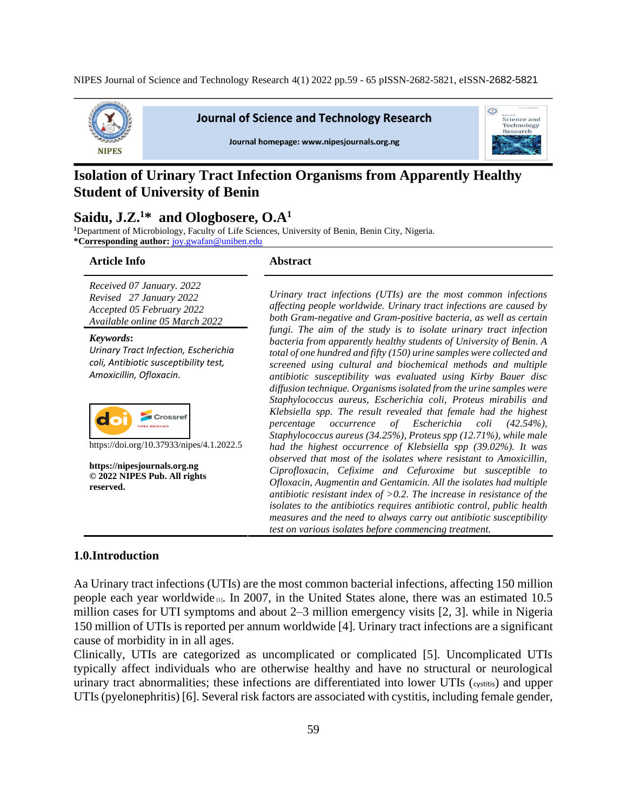

**Journal of Science and Technology Research** 





# **Isolation of Urinary Tract Infection Organisms from Apparently Healthy Student of University of Benin**

# **Saidu, J.Z.<sup>1</sup>\* and Ologbosere, O.A<sup>1</sup>**

<sup>1</sup>Department of Microbiology, Faculty of Life Sciences, University of Benin, Benin City, Nigeria. **\*Corresponding author:** [joy.gwafan@uniben.edu](mailto:joy.gwafan@uniben.edu)

#### **Article Info Abstract**

*Received 07 January. 2022 Revised 27 January 2022 Accepted 05 February 2022 Available online 05 March 2022*

*Keywords***:** *Urinary Tract Infection, Escherichia coli, Antibiotic susceptibility test, Amoxicillin, Ofloxacin.* 



https://doi.org/10.37933/nipes/4.1.2022.5

**https://nipesjournals.org.ng © 2022 NIPES Pub. All rights reserved.**

*Urinary tract infections (UTIs) are the most common infections affecting people worldwide. Urinary tract infections are caused by both Gram-negative and Gram-positive bacteria, as well as certain fungi. The aim of the study is to isolate urinary tract infection bacteria from apparently healthy students of University of Benin. A total of one hundred and fifty (150) urine samples were collected and screened using cultural and biochemical methods and multiple antibiotic susceptibility was evaluated using Kirby Bauer disc diffusion technique. Organisms isolated from the urine samples were Staphylococcus aureus, Escherichia coli, Proteus mirabilis and Klebsiella spp. The result revealed that female had the highest percentage occurrence of Escherichia coli (42.54%), Staphylococcus aureus (34.25%), Proteus spp (12.71%), while male had the highest occurrence of Klebsiella spp (39.02%). It was observed that most of the isolates where resistant to Amoxicillin, Ciprofloxacin, Cefixime and Cefuroxime but susceptible to Ofloxacin, Augmentin and Gentamicin. All the isolates had multiple antibiotic resistant index of >0.2. The increase in resistance of the isolates to the antibiotics requires antibiotic control, public health measures and the need to always carry out antibiotic susceptibility test on various isolates before commencing treatment.* 

## **1.0.Introduction**

Aa Urinary tract infections (UTIs) are the most common bacterial infections, affecting 150 million people each year worldwide  $\mu$ . In 2007, in the United States alone, there was an estimated 10.5 million cases for UTI symptoms and about 2–3 million emergency visits [2, 3]. while in Nigeria 150 million of UTIs is reported per annum worldwide [4]. Urinary tract infections are a significant cause of morbidity in in all ages.

Clinically, UTIs are categorized as uncomplicated or complicated [5]. Uncomplicated UTIs typically affect individuals who are otherwise healthy and have no structural or neurological urinary tract abnormalities; these infections are differentiated into lower UTIs (cystitis) and upper UTIs (pyelonephritis) [6]. Several risk factors are associated with cystitis, including female gender,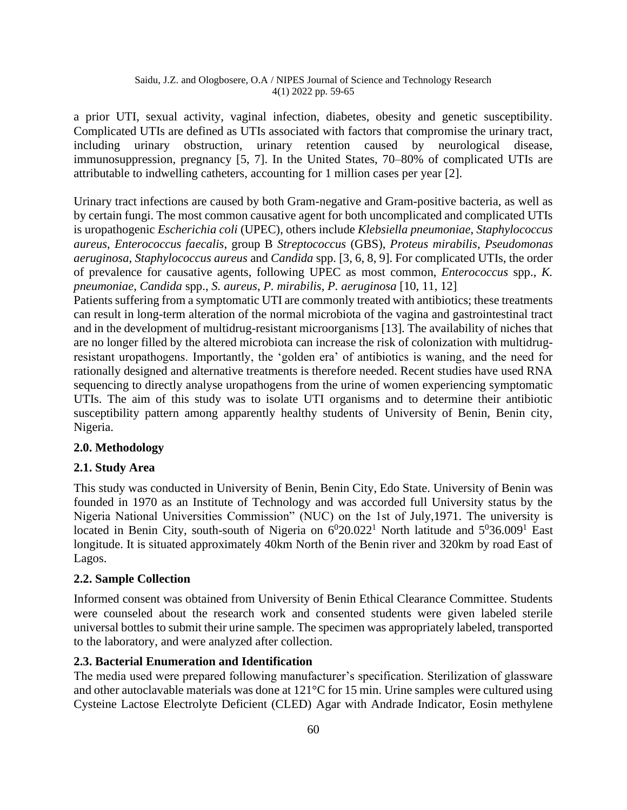### Saidu, J.Z. and Ologbosere, O.A / NIPES Journal of Science and Technology Research 4(1) 2022 pp. 59-65

a prior UTI, sexual activity, vaginal infection, diabetes, obesity and genetic susceptibility. Complicated UTIs are defined as UTIs associated with factors that compromise the urinary tract, including urinary obstruction, urinary retention caused by neurological disease, immunosuppression, pregnancy [5, 7]. In the United States, 70–80% of complicated UTIs are attributable to indwelling catheters, accounting for 1 million cases per year [2].

Urinary tract infections are caused by both Gram-negative and Gram-positive bacteria, as well as by certain fungi. The most common causative agent for both uncomplicated and complicated UTIs is uropathogenic *Escherichia coli* (UPEC), others include *Klebsiella pneumoniae*, *Staphylococcus aureus*, *Enterococcus faecalis*, group B *Streptococcus* (GBS), *Proteus mirabilis*, *Pseudomonas aeruginosa*, *Staphylococcus aureus* and *Candida* spp. [3, 6, 8, 9]. For complicated UTIs, the order of prevalence for causative agents, following UPEC as most common, *Enterococcus* spp., *K. pneumoniae*, *Candida* spp., *S. aureus*, *P. mirabilis*, *P. aeruginosa* [10, 11, 12].

Patients suffering from a symptomatic UTI are commonly treated with antibiotics; these treatments can result in long-term alteration of the normal microbiota of the vagina and gastrointestinal tract and in the development of multidrug-resistant microorganisms [13]. The availability of niches that are no longer filled by the altered microbiota can increase the risk of colonization with multidrugresistant uropathogens. Importantly, the 'golden era' of antibiotics is waning, and the need for rationally designed and alternative treatments is therefore needed. Recent studies have used RNA sequencing to directly analyse uropathogens from the urine of women experiencing symptomatic UTIs. The aim of this study was to isolate UTI organisms and to determine their antibiotic susceptibility pattern among apparently healthy students of University of Benin, Benin city, Nigeria.

# **2.0. Methodology**

# **2.1. Study Area**

This study was conducted in University of Benin, Benin City, Edo State. University of Benin was founded in 1970 as an Institute of Technology and was accorded full University status by the Nigeria National Universities Commission" (NUC) on the 1st of July,1971. The university is located in Benin City, south-south of Nigeria on  $6^020.022^1$  North latitude and  $5^036.009^1$  East longitude. It is situated approximately 40km North of the Benin river and 320km by road East of Lagos.

# **2.2. Sample Collection**

Informed consent was obtained from University of Benin Ethical Clearance Committee. Students were counseled about the research work and consented students were given labeled sterile universal bottles to submit their urine sample. The specimen was appropriately labeled, transported to the laboratory, and were analyzed after collection.

# **2.3. Bacterial Enumeration and Identification**

The media used were prepared following manufacturer's specification. Sterilization of glassware and other autoclavable materials was done at 121°C for 15 min. Urine samples were cultured using Cysteine Lactose Electrolyte Deficient (CLED) Agar with Andrade Indicator, Eosin methylene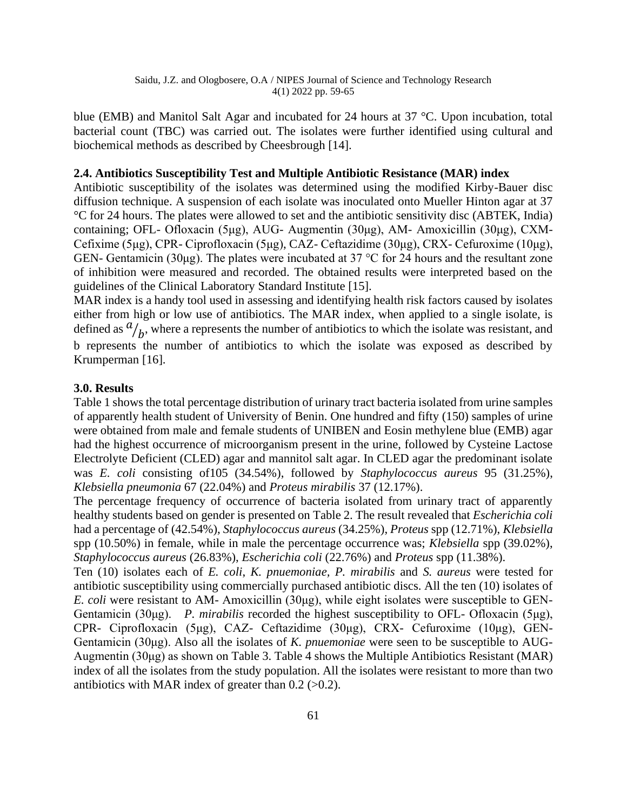blue (EMB) and Manitol Salt Agar and incubated for 24 hours at 37 °C. Upon incubation, total bacterial count (TBC) was carried out. The isolates were further identified using cultural and biochemical methods as described by Cheesbrough [14].

### **2.4. Antibiotics Susceptibility Test and Multiple Antibiotic Resistance (MAR) index**

Antibiotic susceptibility of the isolates was determined using the modified Kirby-Bauer disc diffusion technique. A suspension of each isolate was inoculated onto Mueller Hinton agar at 37 °C for 24 hours. The plates were allowed to set and the antibiotic sensitivity disc (ABTEK, India) containing; OFL- Ofloxacin (5μg), AUG- Augmentin (30μg), AM- Amoxicillin (30μg), CXM-Cefixime (5μg), CPR- Ciprofloxacin (5μg), CAZ- Ceftazidime (30μg), CRX- Cefuroxime (10μg), GEN- Gentamicin (30μg). The plates were incubated at 37 °C for 24 hours and the resultant zone of inhibition were measured and recorded. The obtained results were interpreted based on the guidelines of the Clinical Laboratory Standard Institute [15].

MAR index is a handy tool used in assessing and identifying health risk factors caused by isolates either from high or low use of antibiotics. The MAR index, when applied to a single isolate, is defined as  $\frac{a}{b}$ , where a represents the number of antibiotics to which the isolate was resistant, and b represents the number of antibiotics to which the isolate was exposed as described by Krumperman [16].

# **3.0. Results**

Table 1 shows the total percentage distribution of urinary tract bacteria isolated from urine samples of apparently health student of University of Benin. One hundred and fifty (150) samples of urine were obtained from male and female students of UNIBEN and Eosin methylene blue (EMB) agar had the highest occurrence of microorganism present in the urine, followed by Cysteine Lactose Electrolyte Deficient (CLED) agar and mannitol salt agar. In CLED agar the predominant isolate was *E. coli* consisting of105 (34.54%), followed by *Staphylococcus aureus* 95 (31.25%), *Klebsiella pneumonia* 67 (22.04%) and *Proteus mirabilis* 37 (12.17%).

The percentage frequency of occurrence of bacteria isolated from urinary tract of apparently healthy students based on gender is presented on Table 2. The result revealed that *Escherichia coli*  had a percentage of (42.54%), *Staphylococcus aureus* (34.25%), *Proteus* spp (12.71%), *Klebsiella*  spp (10.50%) in female, while in male the percentage occurrence was; *Klebsiella* spp (39.02%), *Staphylococcus aureus* (26.83%), *Escherichia coli* (22.76%) and *Proteus* spp (11.38%).

Ten (10) isolates each of *E. coli*, *K. pnuemoniae, P. mirabilis* and *S. aureus* were tested for antibiotic susceptibility using commercially purchased antibiotic discs. All the ten (10) isolates of *E. coli* were resistant to AM- Amoxicillin (30μg), while eight isolates were susceptible to GEN-Gentamicin (30μg). *P. mirabilis* recorded the highest susceptibility to OFL- Ofloxacin (5μg), CPR- Ciprofloxacin (5μg), CAZ- Ceftazidime (30μg), CRX- Cefuroxime (10μg), GEN-Gentamicin (30μg). Also all the isolates of *K. pnuemoniae* were seen to be susceptible to AUG-Augmentin (30μg) as shown on Table 3. Table 4 shows the Multiple Antibiotics Resistant (MAR) index of all the isolates from the study population. All the isolates were resistant to more than two antibiotics with MAR index of greater than  $0.2$  ( $>0.2$ ).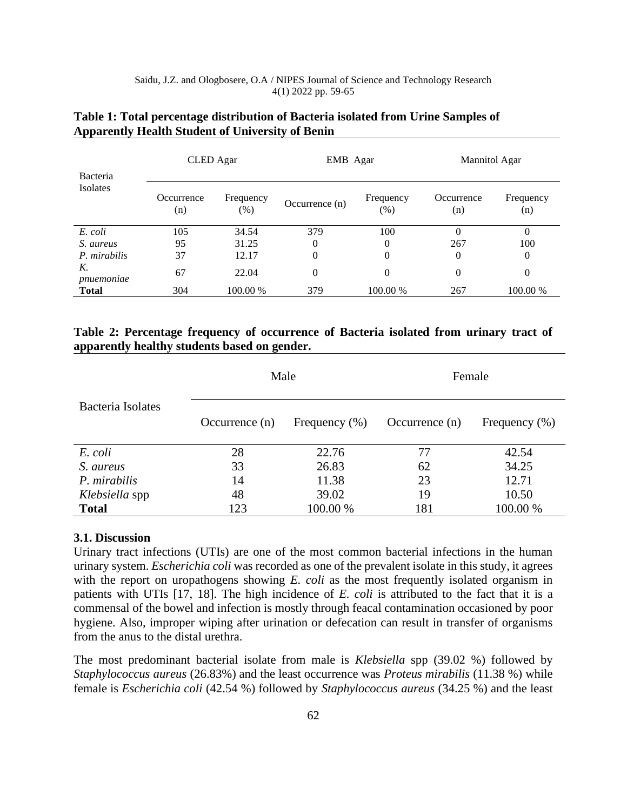Saidu, J.Z. and Ologbosere, O.A / NIPES Journal of Science and Technology Research 4(1) 2022 pp. 59-65

|                      | CLED Agar         |                     | EMB Agar         |                  | Mannitol Agar     |                  |  |
|----------------------|-------------------|---------------------|------------------|------------------|-------------------|------------------|--|
| Bacteria<br>Isolates | Occurrence<br>(n) | Frequency<br>$(\%)$ | Occurrence $(n)$ | Frequency<br>(%) | Occurrence<br>(n) | Frequency<br>(n) |  |
| E. coli              | 105               | 34.54               | 379              | 100              | 0                 | 0                |  |
| S. aureus            | 95                | 31.25               | 0                | 0                | 267               | 100              |  |
| P. mirabilis         | 37                | 12.17               | 0                | 0                | 0                 | 0                |  |
| Κ.<br>pnuemoniae     | 67                | 22.04               | $\theta$         | 0                | 0                 | $\theta$         |  |
| <b>Total</b>         | 304               | 100.00 %            | 379              | 100.00 %         | 267               | 100.00 %         |  |

## **Table 1: Total percentage distribution of Bacteria isolated from Urine Samples of Apparently Health Student of University of Benin**

# **Table 2: Percentage frequency of occurrence of Bacteria isolated from urinary tract of apparently healthy students based on gender.**

|                  |                   | Female           |                   |  |  |
|------------------|-------------------|------------------|-------------------|--|--|
| Occurrence $(n)$ | Frequency $(\% )$ | Occurrence $(n)$ | Frequency $(\% )$ |  |  |
| 28               | 22.76             | 77               | 42.54             |  |  |
| 33               | 26.83             | 62               | 34.25             |  |  |
| 14               | 11.38             | 23               | 12.71             |  |  |
| 48               | 39.02             | 19               | 10.50             |  |  |
| 123              | 100.00 %          | 181              | 100.00 %          |  |  |
|                  |                   | Male             |                   |  |  |

### **3.1. Discussion**

Urinary tract infections (UTIs) are one of the most common bacterial infections in the human urinary system. *Escherichia coli* was recorded as one of the prevalent isolate in this study, it agrees with the report on uropathogens showing *E. coli* as the most frequently isolated organism in patients with UTIs [17, 18]. The high incidence of *E. coli* is attributed to the fact that it is a commensal of the bowel and infection is mostly through feacal contamination occasioned by poor hygiene. Also, improper wiping after urination or defecation can result in transfer of organisms from the anus to the distal urethra.

The most predominant bacterial isolate from male is *Klebsiella* spp (39.02 %) followed by *Staphylococcus aureus* (26.83%) and the least occurrence was *Proteus mirabilis* (11.38 %) while female is *Escherichia coli* (42.54 %) followed by *Staphylococcus aureus* (34.25 %) and the least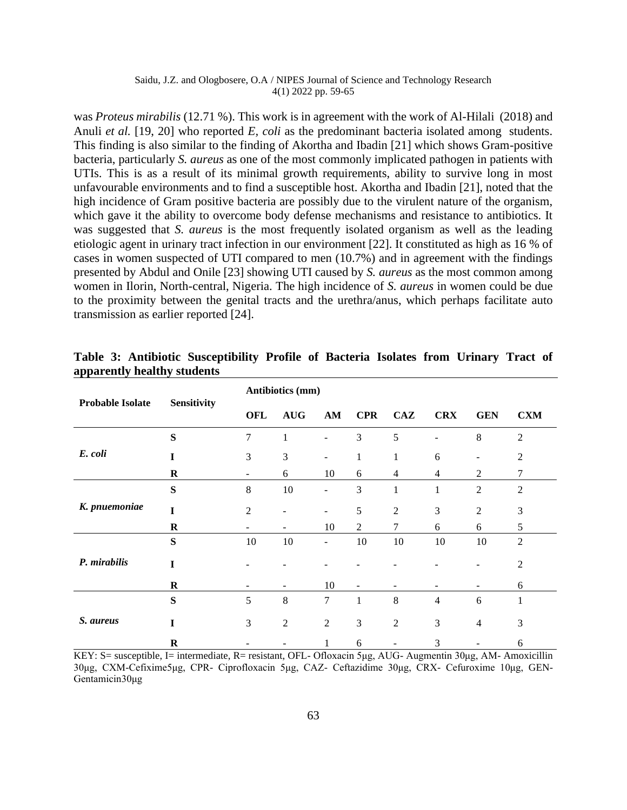### Saidu, J.Z. and Ologbosere, O.A / NIPES Journal of Science and Technology Research 4(1) 2022 pp. 59-65

was *Proteus mirabilis* (12.71 %). This work is in agreement with the work of Al-Hilali (2018) and Anuli *et al.* [19, 20] who reported *E*, *coli* as the predominant bacteria isolated among students. This finding is also similar to the finding of Akortha and Ibadin [21] which shows Gram-positive bacteria, particularly *S. aureus* as one of the most commonly implicated pathogen in patients with UTIs. This is as a result of its minimal growth requirements, ability to survive long in most unfavourable environments and to find a susceptible host. Akortha and Ibadin [21], noted that the high incidence of Gram positive bacteria are possibly due to the virulent nature of the organism, which gave it the ability to overcome body defense mechanisms and resistance to antibiotics. It was suggested that *S. aureus* is the most frequently isolated organism as well as the leading etiologic agent in urinary tract infection in our environment [22]. It constituted as high as 16 % of cases in women suspected of UTI compared to men (10.7%) and in agreement with the findings presented by Abdul and Onile [23] showing UTI caused by *S. aureus* as the most common among women in Ilorin, North-central, Nigeria. The high incidence of *S. aureus* in women could be due to the proximity between the genital tracts and the urethra/anus, which perhaps facilitate auto transmission as earlier reported [24].

|                         | Sensitivity | Antibiotics (mm) |                          |                          |                          |                |                |                |                |
|-------------------------|-------------|------------------|--------------------------|--------------------------|--------------------------|----------------|----------------|----------------|----------------|
| <b>Probable Isolate</b> |             | <b>OFL</b>       | <b>AUG</b>               | AM                       | <b>CPR</b>               | CAZ            | <b>CRX</b>     | <b>GEN</b>     | <b>CXM</b>     |
|                         | S           | $\overline{7}$   | $\mathbf{1}$             |                          | 3                        | 5              |                | 8              | $\overline{2}$ |
| E. coli                 | T           | 3                | 3                        | $\overline{\phantom{a}}$ | $\mathbf{1}$             | 1              | 6              |                | $\mathfrak{2}$ |
|                         | $\bf R$     | -                | 6                        | 10                       | 6                        | $\overline{4}$ | $\overline{4}$ | 2              | 7              |
|                         | S           | 8                | 10                       | $\overline{\phantom{a}}$ | 3                        | $\mathbf{1}$   | $\mathbf 1$    | $\overline{2}$ | $\overline{2}$ |
| K. pnuemoniae           | I           | 2                |                          | $\overline{\phantom{a}}$ | 5                        | $\mathfrak{2}$ | 3              | $\mathfrak{2}$ | 3              |
|                         | $\bf R$     | ۰                | -                        | 10                       | $\overline{2}$           | $\tau$         | 6              | 6              | 5              |
|                         | S           | 10               | 10                       | $\overline{\phantom{m}}$ | 10                       | 10             | 10             | 10             | $\overline{2}$ |
| P. mirabilis            | I           |                  |                          |                          |                          |                |                |                | $\overline{2}$ |
|                         | $\bf R$     |                  | $\overline{\phantom{a}}$ | 10                       | $\overline{\phantom{a}}$ |                | ۰              |                | 6              |
|                         | ${\bf S}$   | 5                | $\,8\,$                  | 7                        | $\mathbf{1}$             | $\,8\,$        | $\overline{4}$ | 6              | 1              |
| S. aureus               | I           | 3                | $\overline{2}$           | $\overline{2}$           | 3                        | $\mathfrak{2}$ | 3              | $\overline{4}$ | 3              |
|                         | R           |                  |                          | 1                        | 6                        |                | 3              |                | 6              |

**Table 3: Antibiotic Susceptibility Profile of Bacteria Isolates from Urinary Tract of apparently healthy students**

KEY: S= susceptible, I= intermediate, R= resistant, OFL- Ofloxacin 5μg, AUG- Augmentin 30μg, AM- Amoxicillin 30μg, CXM-Cefixime5μg, CPR- Ciprofloxacin 5μg, CAZ- Ceftazidime 30μg, CRX- Cefuroxime 10μg, GEN-Gentamicin30μg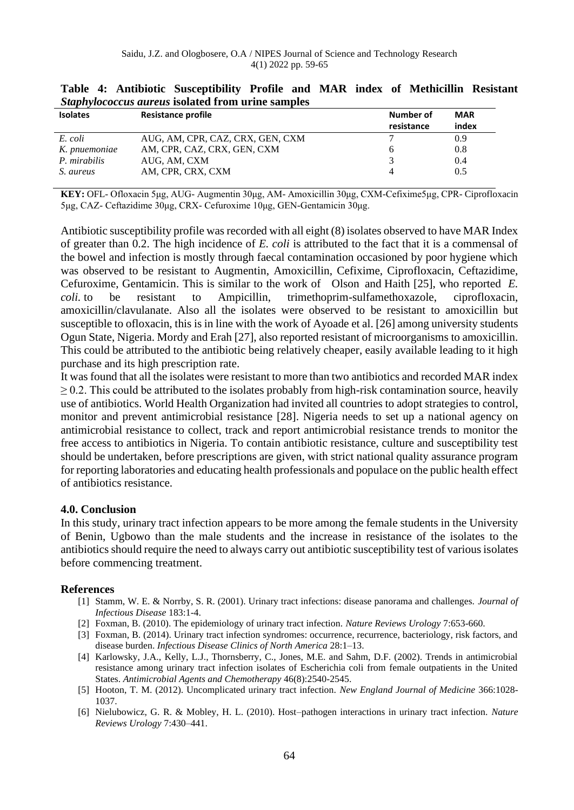| <b>Isolates</b> | <b>Resistance profile</b>        | Number of  | <b>MAR</b> |
|-----------------|----------------------------------|------------|------------|
|                 |                                  | resistance | index      |
| E. coli         | AUG, AM, CPR, CAZ, CRX, GEN, CXM |            | 0.9        |
| K. pnuemoniae   | AM, CPR, CAZ, CRX, GEN, CXM      |            | 0.8        |
| P. mirabilis    | AUG. AM. CXM                     |            | 0.4        |
| S. aureus       | AM. CPR. CRX. CXM                |            | 0.5        |

# **Table 4: Antibiotic Susceptibility Profile and MAR index of Methicillin Resistant**  *Staphylococcus aureus* **isolated from urine samples**

**KEY:** OFL- Ofloxacin 5μg, AUG- Augmentin 30μg, AM- Amoxicillin 30μg, CXM-Cefixime5μg, CPR- Ciprofloxacin 5μg, CAZ- Ceftazidime 30μg, CRX- Cefuroxime 10μg, GEN-Gentamicin 30μg.

Antibiotic susceptibility profile was recorded with all eight (8) isolates observed to have MAR Index of greater than 0.2. The high incidence of *E. coli* is attributed to the fact that it is a commensal of the bowel and infection is mostly through faecal contamination occasioned by poor hygiene which was observed to be resistant to Augmentin, Amoxicillin, Cefixime, Ciprofloxacin, Ceftazidime, Cefuroxime, Gentamicin. This is similar to the work of [Olson](https://pubmed.ncbi.nlm.nih.gov/?term=Olson+RP&cauthor_id=22857139) and [Haith](https://pubmed.ncbi.nlm.nih.gov/?term=Haith+K&cauthor_id=22857139) [25], who reported *E. coli.* to be resistant to Ampicillin, trimethoprim-sulfamethoxazole, ciprofloxacin, amoxicillin/clavulanate. Also all the isolates were observed to be resistant to amoxicillin but susceptible to ofloxacin, this is in line with the work of Ayoade et al. [26] among university students Ogun State, Nigeria. Mordy and Erah [27], also reported resistant of microorganisms to amoxicillin. This could be attributed to the antibiotic being relatively cheaper, easily available leading to it high purchase and its high prescription rate.

It was found that all the isolates were resistant to more than two antibiotics and recorded MAR index  $\geq$  0.2. This could be attributed to the isolates probably from high-risk contamination source, heavily use of antibiotics. World Health Organization had invited all countries to adopt strategies to control, monitor and prevent antimicrobial resistance [28]. Nigeria needs to set up a national agency on antimicrobial resistance to collect, track and report antimicrobial resistance trends to monitor the free access to antibiotics in Nigeria. To contain antibiotic resistance, culture and susceptibility test should be undertaken, before prescriptions are given, with strict national quality assurance program for reporting laboratories and educating health professionals and populace on the public health effect of antibiotics resistance.

# **4.0. Conclusion**

In this study, urinary tract infection appears to be more among the female students in the University of Benin, Ugbowo than the male students and the increase in resistance of the isolates to the antibiotics should require the need to always carry out antibiotic susceptibility test of various isolates before commencing treatment.

# **References**

- [1] Stamm, W. E. & Norrby, S. R. (2001). Urinary tract infections: disease panorama and challenges. *Journal of Infectious Disease* 183:1-4.
- [2] Foxman, B. (2010). The epidemiology of urinary tract infection. *Nature Reviews Urology* 7:653-660.
- [3] Foxman, B. (2014). Urinary tract infection syndromes: occurrence, recurrence, bacteriology, risk factors, and disease burden. *Infectious Disease Clinics of North America* 28:1–13.
- [4] Karlowsky, J.A., Kelly, L.J., Thornsberry, C., Jones, M.E. and Sahm, D.F. (2002). Trends in antimicrobial resistance among urinary tract infection isolates of Escherichia coli from female outpatients in the United States. *Antimicrobial Agents and Chemotherapy* 46(8):2540-2545.
- [5] Hooton, T. M. (2012). Uncomplicated urinary tract infection. *New England Journal of Medicine* 366:1028- 1037.
- [6] Nielubowicz, G. R. & Mobley, H. L. (2010). Host–pathogen interactions in urinary tract infection. *Nature Reviews Urology* 7:430–441.